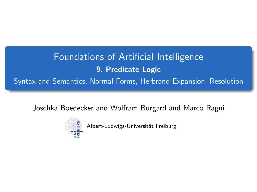Foundations of Artificial Intelligence 9. Predicate Logic Syntax and Semantics, Normal Forms, Herbrand Expansion, Resolution

<span id="page-0-0"></span>Joschka Boedecker and Wolfram Burgard and Marco Ragni



Albert-Ludwigs-Universität Freiburg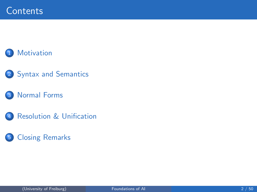## **[Motivation](#page-2-0)**

## 2 [Syntax and Semantics](#page-3-0)

### 3 [Normal Forms](#page-15-0)

4 [Resolution & Unification](#page-27-0)

## 5 [Closing Remarks](#page-47-0)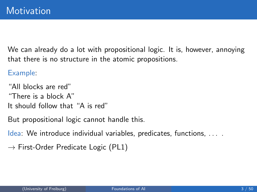We can already do a lot with propositional logic. It is, however, annoying that there is no structure in the atomic propositions.

Example:

"All blocks are red" "There is a block A" It should follow that "A is red"

But propositional logic cannot handle this.

Idea: We introduce individual variables, predicates, functions, . . . .

<span id="page-2-0"></span> $\rightarrow$  First-Order Predicate Logic (PL1)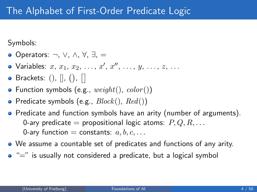Symbols:

- Operators: ¬, ∨, ∧, ∀, ∃, =
- Variables:  $x, x_1, x_2, \ldots, x', x'', \ldots, y, \ldots, z, \ldots$
- Brackets:  $()$ ,  $[]$ ,  $()$ ,  $[]$
- Function symbols (e.g.,  $weight(),\ color()$ )
- Predicate symbols (e.g.,  $Block(), Red()$ )
- Predicate and function symbols have an arity (number of arguments). 0-ary predicate = propositional logic atoms:  $P, Q, R, \ldots$ 0-ary function = constants:  $a, b, c, \ldots$
- We assume a countable set of predicates and functions of any arity.
- <span id="page-3-0"></span> $\bullet$  " $=$ " is usually not considered a predicate, but a logical symbol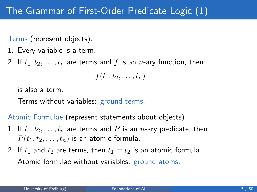Terms (represent objects):

- 1. Every variable is a term.
- 2. If  $t_1, t_2, \ldots, t_n$  are terms and f is an n-ary function, then

$$
f(t_1,t_2,\ldots,t_n)
$$

is also a term.

Terms without variables: ground terms.

Atomic Formulae (represent statements about objects)

- 1. If  $t_1, t_2, \ldots, t_n$  are terms and P is an *n*-ary predicate, then  $P(t_1, t_2, \ldots, t_n)$  is an atomic formula.
- 2. If  $t_1$  and  $t_2$  are terms, then  $t_1 = t_2$  is an atomic formula. Atomic formulae without variables: ground atoms.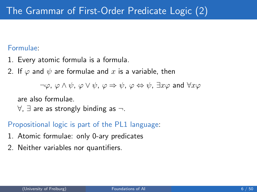### Formulae:

- 1. Every atomic formula is a formula.
- 2. If  $\varphi$  and  $\psi$  are formulae and x is a variable, then

 $\neg \varphi$ ,  $\varphi \wedge \psi$ ,  $\varphi \vee \psi$ ,  $\varphi \Rightarrow \psi$ ,  $\varphi \Leftrightarrow \psi$ ,  $\exists x \varphi$  and  $\forall x \varphi$ 

are also formulae.

 $\forall$ ,  $\exists$  are as strongly binding as  $\neg$ .

### Propositional logic is part of the PL1 language:

- 1. Atomic formulae: only 0-ary predicates
- 2. Neither variables nor quantifiers.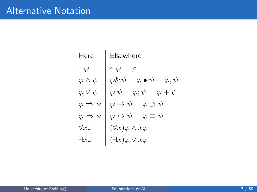| Here                           | Elsewhere                                                      |
|--------------------------------|----------------------------------------------------------------|
| $\neg\varphi$                  | $\overline{\varphi}$<br>$\sim\!\varphi$                        |
| $\varphi \wedge \psi$          | $\varphi \bullet \psi$<br>$\varphi \& \psi$<br>$\varphi, \psi$ |
| $\varphi \vee \psi$            | $\varphi \psi $<br>$\varphi ;\psi$<br>$\varphi + \psi$         |
| $\varphi \Rightarrow \psi$     | $\varphi \to \psi \quad \varphi \supset \psi$                  |
| $\varphi \Leftrightarrow \psi$ | $\varphi \leftrightarrow \psi \quad \varphi \equiv \psi$       |
| $\forall x \varphi$            | $(\forall x)\varphi \wedge x\varphi$                           |
| $\exists x \varphi$            | $(\exists x)\varphi\vee x\varphi$                              |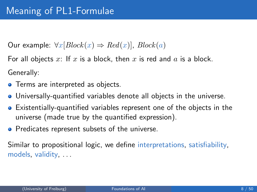Our example:  $\forall x [Block(x) \Rightarrow Red(x)]$ ,  $Block(a)$ 

For all objects x: If x is a block, then x is red and  $a$  is a block. Generally:

- **•** Terms are interpreted as objects.
- Universally-quantified variables denote all objects in the universe.
- Existentially-quantified variables represent one of the objects in the universe (made true by the quantified expression).
- **•** Predicates represent subsets of the universe.

Similar to propositional logic, we define interpretations, satisfiability, models, validity, . . .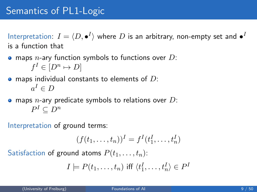# Semantics of PL1-Logic

Interpretation:  $I = \langle D, \bullet^I \rangle$  where  $D$  is an arbitrary, non-empty set and  $\bullet^I$ is a function that

- $\bullet$  maps *n*-ary function symbols to functions over D:  $f^I \in [D^n \mapsto D]$
- $\bullet$  maps individual constants to elements of D:  $a^I \in D$
- $\bullet$  maps *n*-ary predicate symbols to relations over D:  $P^I \subseteq D^n$
- Interpretation of ground terms:

$$
(f(t_1,\ldots,t_n))^I=f^I(t_1^I,\ldots,t_n^I)
$$

Satisfaction of ground atoms  $P(t_1, \ldots, t_n)$ :

$$
I \models P(t_1, \ldots, t_n) \text{ iff } \langle t_1^I, \ldots, t_n^I \rangle \in P^I
$$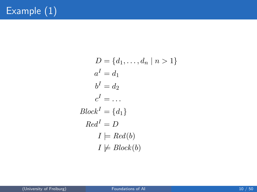$$
D = \{d_1, \dots, d_n \mid n > 1\}
$$
  
\n
$$
a^I = d_1
$$
  
\n
$$
b^I = d_2
$$
  
\n
$$
c^I = \dots
$$
  
\n
$$
Block^I = \{d_1\}
$$
  
\n
$$
Red^I = D
$$
  
\n
$$
I \models Red(b)
$$
  
\n
$$
I \not\models Block(b)
$$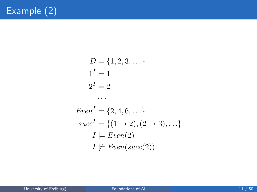$$
D = \{1, 2, 3, \ldots\}
$$
  
\n
$$
1^{I} = 1
$$
  
\n
$$
2^{I} = 2
$$
  
\n...

$$
EvenI = \{2, 4, 6, \ldots\}
$$

$$
succI = \{(1 \mapsto 2), (2 \mapsto 3), \ldots\}
$$

$$
I \models Even(2)
$$

$$
I \not\models Even(succ(2))
$$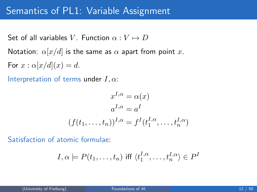## Semantics of PL1: Variable Assignment

Set of all variables V. Function  $\alpha: V \mapsto D$ Notation:  $\alpha[x/d]$  is the same as  $\alpha$  apart from point x.

For  $x : \alpha[x/d](x) = d$ .

Interpretation of terms under  $I, \alpha$ :

$$
x^{I,\alpha} = \alpha(x)
$$

$$
a^{I,\alpha} = a^I
$$

$$
(f(t_1, \dots, t_n))^{I,\alpha} = f^I(t_1^{I,\alpha}, \dots, t_n^{I,\alpha})
$$

Satisfaction of atomic formulae:

$$
I, \alpha \models P(t_1, \ldots, t_n)
$$
 iff  $\langle t_1^{I, \alpha}, \ldots, t_n^{I, \alpha} \rangle \in P^I$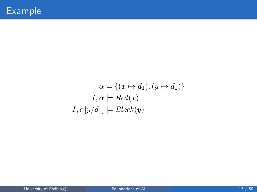$$
\alpha = \{(x \mapsto d_1), (y \mapsto d_2)\}
$$
  

$$
I, \alpha \models Red(x)
$$
  

$$
I, \alpha[y/d_1] \models Block(y)
$$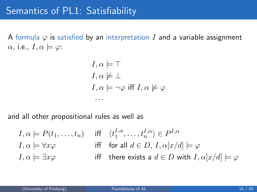A formula  $\varphi$  is satisfied by an interpretation I and a variable assignment  $\alpha$ , i.e.,  $I, \alpha \models \varphi$ :

$$
I, \alpha \models \top
$$
  
\n
$$
I, \alpha \not\models \bot
$$
  
\n
$$
I, \alpha \models \neg \varphi \text{ iff } I, \alpha \not\models \varphi
$$

and all other propositional rules as well as

· · ·

$$
I, \alpha \models P(t_1, \dots, t_n) \quad \text{iff} \quad \langle t_1^{I, \alpha}, \dots, t_n^{I, \alpha} \rangle \in P^{I, \alpha}
$$
\n
$$
I, \alpha \models \forall x \varphi \quad \text{iff} \quad \text{for all } d \in D, I, \alpha[x/d] \models \varphi
$$
\n
$$
I, \alpha \models \exists x \varphi \quad \text{iff} \quad \text{there exists a } d \in D \text{ with } I, \alpha[x/d] \models \varphi
$$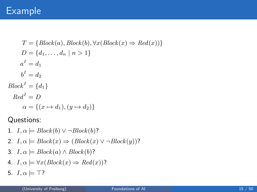## Example

$$
T = \{Block(a), Block(b), \forall x (Block(x) \Rightarrow Red(x)) \}
$$
  
\n
$$
D = \{d_1, ..., d_n | n > 1\}
$$
  
\n
$$
a^I = d_1
$$
  
\n
$$
b^I = d_2
$$
  
\n
$$
Block^I = \{d_1\}
$$
  
\n
$$
Red^I = D
$$
  
\n
$$
\alpha = \{(x \mapsto d_1), (y \mapsto d_2)\}
$$

Questions:

- 1.  $I, \alpha \models Block(b) \vee \neg Block(b)$ ?
- 2.  $I, \alpha \models Block(x) \Rightarrow (Block(x) \vee \neg Block(y))$ ?
- 3.  $I, \alpha \models Block(a) \land Block(b)$ ?
- 4.  $I, \alpha \models \forall x (Block(x) \Rightarrow Red(x))$ ?
- 5.  $I, \alpha \models \top?$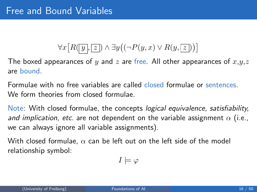# $\forall x \big[ R(\overline{y},\overline{z}) \wedge \exists y ((\neg P(y,x) \vee R(y,\overline{z})) \big)$

The boxed appearances of y and z are free. All other appearances of  $x,y,z$ are bound.

Formulae with no free variables are called closed formulae or sentences. We form theories from closed formulae.

Note: With closed formulae, the concepts logical equivalence, satisfiability, and implication, etc. are not dependent on the variable assignment  $\alpha$  (i.e., we can always ignore all variable assignments).

With closed formulae,  $\alpha$  can be left out on the left side of the model relationship symbol:

<span id="page-15-0"></span>
$$
I \models \varphi
$$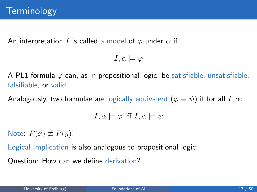An interpretation I is called a model of  $\varphi$  under  $\alpha$  if

$$
I,\alpha \models \varphi
$$

A PL1 formula  $\varphi$  can, as in propositional logic, be satisfiable, unsatisfiable, falsifiable, or valid.

Analogously, two formulae are logically equivalent  $(\varphi \equiv \psi)$  if for all  $I, \alpha$ :

$$
I,\alpha \models \varphi \text{ iff } I,\alpha \models \psi
$$

Note:  $P(x) \neq P(y)!$ 

Logical Implication is also analogous to propositional logic.

Question: How can we define derivation?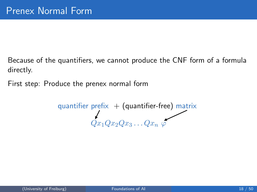Because of the quantifiers, we cannot produce the CNF form of a formula directly.

First step: Produce the prenex normal form

 $\,$ quantifier prefi $\times\,+\,$  (quantifier-free) matri $\times\,$  $Qx_1Qx_2Qx_3\ldots Qx_n$   $\varphi$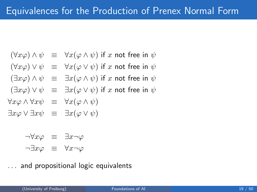$$
(\forall x \varphi) \land \psi \equiv \forall x (\varphi \land \psi) \text{ if } x \text{ not free in } \psi
$$

$$
(\forall x \varphi) \vee \psi \equiv \forall x (\varphi \vee \psi) \text{ if } x \text{ not free in } \psi
$$

$$
(\exists x \varphi) \land \psi \equiv \exists x (\varphi \land \psi) \text{ if } x \text{ not free in } \psi
$$

$$
(\exists x \varphi) \vee \psi \equiv \exists x (\varphi \vee \psi) \text{ if } x \text{ not free in } \psi
$$

$$
\forall x \varphi \land \forall x \psi \equiv \forall x (\varphi \land \psi)
$$

$$
\exists x \varphi \lor \exists x \psi \equiv \exists x (\varphi \lor \psi)
$$

$$
\neg \forall x \varphi \equiv \exists x \neg \varphi
$$
  

$$
\neg \exists x \varphi \equiv \forall x \neg \varphi
$$

. . . and propositional logic equivalents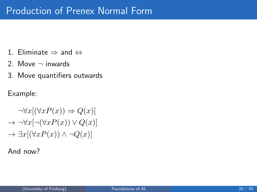- 1. Eliminate  $\Rightarrow$  and  $\Leftrightarrow$
- 2. Move  $\neg$  inwards
- 3. Move quantifiers outwards

Example:

$$
\neg \forall x[(\forall x P(x)) \Rightarrow Q(x)]
$$
  
\n
$$
\rightarrow \neg \forall x[\neg (\forall x P(x)) \lor Q(x)]
$$
  
\n
$$
\rightarrow \exists x[(\forall x P(x)) \land \neg Q(x)]
$$

And now?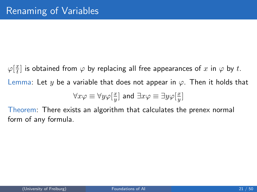$\varphi[\frac{x}{t}]$  $\frac{x}{t}$ ] is obtained from  $\varphi$  by replacing all free appearances of  $x$  in  $\varphi$  by  $t.$ Lemma: Let y be a variable that does not appear in  $\varphi$ . Then it holds that  $\overline{x}$  $\overline{x}$ 

$$
\forall x \varphi \equiv \forall y \varphi[\frac{x}{y}] \text{ and } \exists x \varphi \equiv \exists y \varphi[\frac{x}{y}]
$$

Theorem: There exists an algorithm that calculates the prenex normal form of any formula.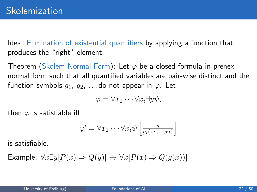Idea: Elimination of existential quantifiers by applying a function that produces the "right" element.

Theorem (Skolem Normal Form): Let  $\varphi$  be a closed formula in prenex normal form such that all quantified variables are pair-wise distinct and the function symbols  $q_1, q_2, \ldots$  do not appear in  $\varphi$ . Let

$$
\varphi = \forall x_1 \cdots \forall x_i \exists y \psi,
$$

then  $\varphi$  is satisfiable iff

$$
\varphi' = \forall x_1 \cdots \forall x_i \psi \left[ \frac{y}{g_i(x_1, \ldots, x_i)} \right]
$$

is satisfiable.

Example:  $\forall x \exists y [P(x) \Rightarrow Q(y)] \rightarrow \forall x [P(x) \Rightarrow Q(g(x))]$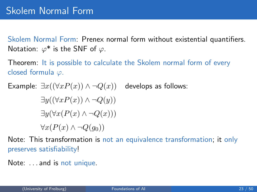Skolem Normal Form: Prenex normal form without existential quantifiers. Notation:  $\varphi^*$  is the SNF of  $\varphi$ .

Theorem: It is possible to calculate the Skolem normal form of every closed formula  $\varphi$ .

Example:  $\exists x((\forall x P(x)) \land \neg Q(x))$  $\exists y((\forall x P(x)) \wedge \neg Q(y))$  $\exists y(\forall x(P(x) \land \neg Q(x)))$  $\forall x(P(x) \land \neg Q(q_0))$ develops as follows:

Note: This transformation is not an equivalence transformation; it only preserves satisfiability!

Note: . . . and is not unique.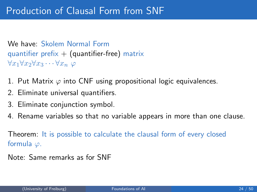We have: Skolem Normal Form quantifier prefix  $+$  (quantifier-free) matrix  $\forall x_1 \forall x_2 \forall x_3 \cdots \forall x_n \varphi$ 

- 1. Put Matrix  $\varphi$  into CNF using propositional logic equivalences.
- 2. Eliminate universal quantifiers.
- 3. Eliminate conjunction symbol.
- 4. Rename variables so that no variable appears in more than one clause.

Theorem: It is possible to calculate the clausal form of every closed formula  $\varphi$ .

Note: Same remarks as for SNF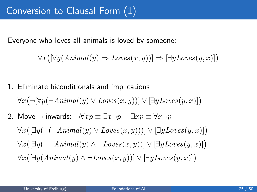Everyone who loves all animals is loved by someone:

$$
\forall x ([\forall y (Animal(y) \Rightarrow Loves(x, y))] \Rightarrow [\exists y Loves(y, x)] )
$$

1. Eliminate biconditionals and implications  $\forall x (\neg [\forall y (\neg Animal(y) \lor Loves(x, y))] \lor [\exists y Loves(y, x)])$ 2. Move  $\neg$  inwards:  $\neg \forall x p \equiv \exists x \neg p$ ,  $\neg \exists x p \equiv \forall x \neg p$  $\forall x([\exists y (\neg(\neg Animal(y) \vee Loves(x,y)))] \vee [\exists y Loves(y,x)])$  $\forall x([\exists y(\neg\neg Animal(y) \land \neg Loves(x,y))] \lor [\exists y Loves(y,x)])$  $\forall x([\exists y(Animal(y) \land \neg Loves(x, y))] \lor [\exists y Loves(y, x)])$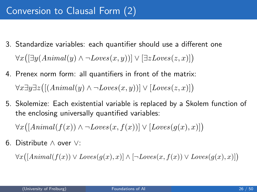- 3. Standardize variables: each quantifier should use a different one  $\forall x([\exists y(Animal(y) \land \neg Loves(x,y))] \lor [\exists z Loves(z,x)])$
- 4. Prenex norm form: all quantifiers in front of the matrix:  $\forall x \exists y \exists z \big( [(Animal(y) \land \neg Loves(x, y))] \lor [Loves(z, x)] \big)$
- 5. Skolemize: Each existential variable is replaced by a Skolem function of the enclosing universally quantified variables:

 $\forall x([Animal(f(x)) \land \neg Loves(x, f(x))] \lor [Loves(g(x), x)])$ 

6. Distribute ∧ over ∨:

 $\forall x([Animal(f(x)) \vee Loves(g(x), x)] \wedge [\neg Loves(x, f(x)) \vee Loves(g(x), x)])$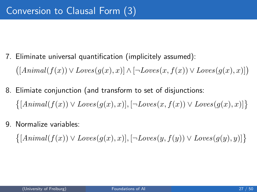- 7. Eliminate universal quantification (implicitely assumed):  $([Animal(f(x)) \vee Loves(g(x), x)] \wedge [\neg Loves(x, f(x)) \vee Loves(g(x), x)])$
- 8. Elimiate conjunction (and transform to set of disjunctions:  $\{[Animal(f(x)) \vee Loves(g(x), x)], [\neg Loves(x, f(x)) \vee Loves(g(x), x)]\}$
- 9. Normalize variables:

 $\{[Animal(f(x)) \vee Loves(g(x), x)], [\neg Loves(y, f(y)) \vee Loves(g(y), y)]\}$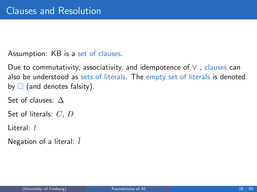Assumption: KB is a set of clauses.

Due to commutativity, associativity, and idempotence of  $\vee$ , clauses can also be understood as sets of literals. The empty set of literals is denoted by  $\Box$  (and denotes falsity).

Set of clauses: ∆

Set of literals: C, D

Literal: l

<span id="page-27-0"></span>Negation of a literal:  $l$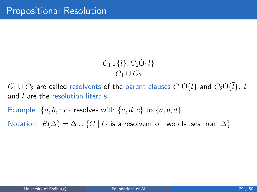$$
\frac{C_1\dot{\cup}\{l\}, C_2\dot{\cup}\{\bar{l}\}}{C_1\cup C_2}
$$

 $C_1 \cup C_2$  are called resolvents of the parent clauses  $C_1 \dot{\cup} \{l\}$  and  $C_2 \dot{\cup} \{l\}$ . l and  $\overline{l}$  are the resolution literals.

Example:  $\{a, b, \neg c\}$  resolves with  $\{a, d, c\}$  to  $\{a, b, d\}$ .

Notation:  $R(\Delta) = \Delta \cup \{C \mid C$  is a resolvent of two clauses from  $\Delta\}$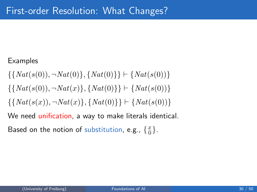### Examples

$$
\{\{Nat(s(0)), \neg Nat(0)\}, \{Nat(0)\}\} \vdash \{Nat(s(0))\}
$$

$$
\{\{Nat(s(0)), \neg Nat(x)\}, \{Nat(0)\}\} \vdash \{Nat(s(0))\}
$$

$$
\{\{Nat(s(x)), \neg Nat(x)\}, \{Nat(0)\}\} \vdash \{Nat(s(0))\}
$$

We need unification, a way to make literals identical.

Based on the notion of substitution, e.g.,  $\{\frac{x}{0}\}$  $\frac{x}{0}$ .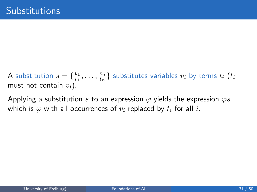A substitution  $s = \{\frac{v_1}{t_1}\}$  $\frac{v_1}{t_1},\ldots,\frac{v_n}{t_n}$  $\left\{\frac{v_n}{t_n}\right\}$  substitutes variables  $v_i$  by terms  $t_i$   $\left(t_i\right)$ must not contain  $v_i$ ).

Applying a substitution s to an expression  $\varphi$  yields the expression  $\varphi s$ which is  $\varphi$  with all occurrences of  $v_i$  replaced by  $t_i$  for all i.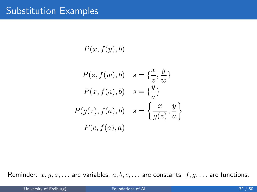$P(x, f(y), b)$ 

$$
P(z, f(w), b) \quad s = \{\frac{x}{z}, \frac{y}{w}\}
$$

$$
P(x, f(a), b) \quad s = \{\frac{y}{a}\}
$$

$$
P(g(z), f(a), b) \quad s = \left\{\frac{x}{g(z)}, \frac{y}{a}\right\}
$$

$$
P(c, f(a), a)
$$

Reminder:  $x, y, z, \ldots$  are variables,  $a, b, c, \ldots$  are constants,  $f, g, \ldots$  are functions.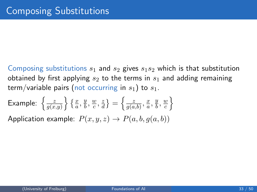Composing substitutions  $s_1$  and  $s_2$  gives  $s_1s_2$  which is that substitution obtained by first applying  $s_2$  to the terms in  $s_1$  and adding remaining term/variable pairs (not occurring in  $s_1$ ) to  $s_1$ .

Example: 
$$
\left\{ \frac{z}{g(x,y)} \right\} \left\{ \frac{x}{a}, \frac{y}{b}, \frac{w}{c}, \frac{z}{d} \right\} = \left\{ \frac{z}{g(a,b)}, \frac{x}{a}, \frac{y}{b}, \frac{w}{c} \right\}
$$
  
Application example:  $P(x, y, z) \rightarrow P(a, b, g(a, b))$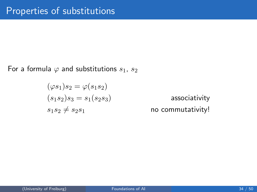For a formula  $\varphi$  and substitutions  $s_1, s_2$ 

$$
(\varphi s_1)s_2 = \varphi(s_1s_2)
$$
  
\n
$$
(s_1s_2)s_3 = s_1(s_2s_3)
$$
  
\n
$$
s_1s_2 \neq s_2s_1
$$

associativity no commutativity!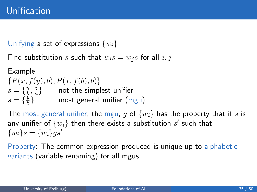Unifying a set of expressions  $\{w_i\}$ 

Find substitution s such that  $w_i s = w_i s$  for all  $i, j$ 

Example  $\{P(x, f(y), b), P(x, f(b), b)\}\$  $s = \left\{\frac{y}{b}\right\}$  $\frac{y}{b}, \frac{z}{a}$  $\left\{\frac{z}{a}\right\}$  not the simplest unifier  $s = \{\frac{y}{b}\}$  $\frac{y}{b}\}$  most general unifier  $(\mathsf{mgu})$ 

The most general unifier, the mgu, g of  $\{w_i\}$  has the property that if s is any unifier of  $\{w_i\}$  then there exists a substitution  $s'$  such that  $\{w_i\} s = \{w_i\} qs'$ 

Property: The common expression produced is unique up to alphabetic variants (variable renaming) for all mgus.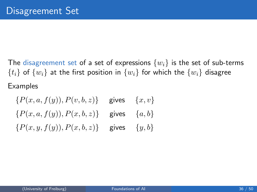The disagreement set of a set of expressions  $\{w_i\}$  is the set of sub-terms  $\{t_i\}$  of  $\{w_i\}$  at the first position in  $\{w_i\}$  for which the  $\{w_i\}$  disagree Examples

 ${P(x, a, f(y)), P(v, b, z)}$  gives  ${x, v}$  ${P(x, a, f(y)), P(x, b, z)}$  gives  ${a, b}$  ${P(x, y, f(y)), P(x, b, z)}$  gives  ${y, b}$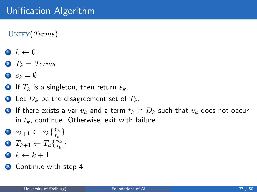$UNIFY(Terms):$ 

- $\bullet \, k \leftarrow 0$
- $2 T_k = Terms$
- 3  $s_k = \emptyset$
- 4 If  $T_k$  is a singleton, then return  $s_k$ .
- **Let**  $D_k$  be the disagreement set of  $T_k$ .
- **•** If there exists a var  $v_k$  and a term  $t_k$  in  $D_k$  such that  $v_k$  does not occur in  $t_k$ , continue. Otherwise, exit with failure.
- 7  $s_{k+1} \leftarrow s_k \left\{ \frac{v_k}{t_k} \right\}$  $\frac{v_k}{t_k}\}$
- 8  $T_{k+1} \leftarrow T_k \{\frac{v_k}{t_k}\}$  $\frac{v_k}{t_k}\}$
- $\bullet \ k \leftarrow k + 1$
- **10** Continue with step 4.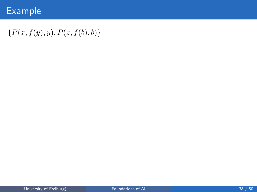# Example

## ${P(x, f(y), y), P(z, f(b), b)}$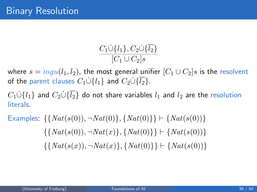$$
\frac{C_1\dot{\cup}{l_1}, C_2\dot{\cup}\{\overline{l_2}\}}{[C_1\cup C_2]s}
$$

where  $s = mgu(l_1, l_2)$ , the most general unifier  $[C_1 \cup C_2]$ s is the resolvent of the parent clauses  $C_1 \dot{\cup} \{l_1\}$  and  $C_2 \dot{\cup} \{\overline{l_2}\}\$ .

 $C_1 \dot{\cup} \{l_1\}$  and  $C_2 \dot{\cup} \{\overline{l_2}\}\$  do not share variables  $l_1$  and  $l_2$  are the resolution literals.

Examples: 
$$
\{\{Nat(s(0)), \neg Nat(0)\}, \{Nat(0)\}\}\n \vdash \{Nat(s(0)), \neg Nat(x)\}, \{Nat(0)\}\n \vdash \{Nat(s(0)), \neg Nat(x)\}, \{Nat(0)\}\n \vdash \{Nat(s(0))\}\n \{\{Nat(s(x)), \neg Nat(x)\}, \{Nat(0)\}\}\n \vdash \{Nat(s(0))\}
$$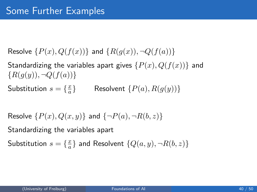Resolve  $\{P(x), Q(f(x))\}$  and  $\{R(q(x)), \neg Q(f(a))\}$ 

Standardizing the variables apart gives  $\{P(x), Q(f(x))\}$  and  ${R(q(y), \neg Q(f(a))}$ 

Substitution  $s = \{\frac{x}{a}\}$ a Resolvent  ${P(a), R(q(y))}$ 

Resolve  $\{P(x), Q(x, y)\}\$  and  $\{\neg P(a), \neg R(b, z)\}\$ 

Standardizing the variables apart

Substitution  $s = \{\frac{x}{a}\}$  $\frac{x}{a} \}$  and Resolvent  $\{Q(a,y), \neg R(b,z)\}$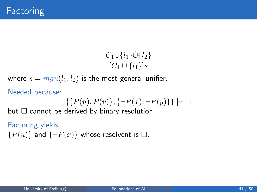$$
\frac{C_1 \dot{\cup} \{l_1\} \dot{\cup} \{l_2\}}{[C_1 \cup \{l_1\}]s}
$$

where  $s = mgu(l_1, l_2)$  is the most general unifier.

Needed because:

$$
\{\{P(u),P(v)\},\{\neg P(x),\neg P(y)\}\}\models\Box
$$

but  $\Box$  cannot be derived by binary resolution

#### Factoring yields:

 ${P(u)}$  and  ${\neg P(x)}$  whose resolvent is  $\square$ .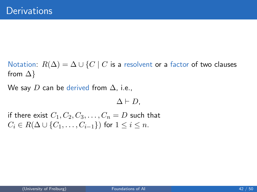Notation:  $R(\Delta) = \Delta \cup \{C \mid C$  is a resolvent or a factor of two clauses from  $\Delta$ }

We say D can be derived from  $\Delta$ , i.e.,

 $\Delta \vdash D$ ,

if there exist  $C_1, C_2, C_3, \ldots, C_n = D$  such that  $C_i \in R(\Delta \cup \{C_1, \ldots, C_{i-1}\})$  for  $1 \leq i \leq n$ .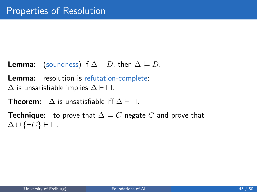- **Lemma:** (soundness) If  $\Delta \vdash D$ , then  $\Delta \models D$ .
- Lemma: resolution is refutation-complete:
- $\Delta$  is unsatisfiable implies  $\Delta \vdash \Box$ .
- **Theorem:**  $\Delta$  is unsatisfiable iff  $\Delta \vdash \Box$ .
- **Technique:** to prove that  $\Delta \models C$  negate C and prove that  $\Delta \cup \{\neg C\} \vdash \Box.$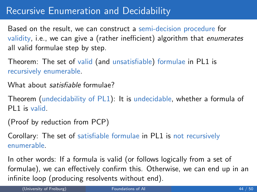## Recursive Enumeration and Decidability

Based on the result, we can construct a semi-decision procedure for validity, i.e., we can give a (rather inefficient) algorithm that enumerates all valid formulae step by step.

Theorem: The set of valid (and unsatisfiable) formulae in PL1 is recursively enumerable.

What about *satisfiable* formulae?

Theorem (undecidability of PL1): It is undecidable, whether a formula of PL1 is valid.

(Proof by reduction from PCP)

Corollary: The set of satisfiable formulae in PL1 is not recursively enumerable.

In other words: If a formula is valid (or follows logically from a set of formulae), we can effectively confirm this. Otherwise, we can end up in an infinite loop (producing resolvents without end).

(University of Freiburg) **[Foundations of AI](#page-0-0)** 44 / 50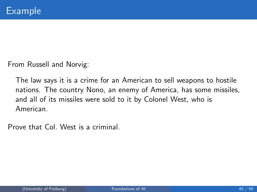From Russell and Norvig:

The law says it is a crime for an American to sell weapons to hostile nations. The country Nono, an enemy of America, has some missiles, and all of its missiles were sold to it by Colonel West, who is American.

Prove that Col. West is a criminal.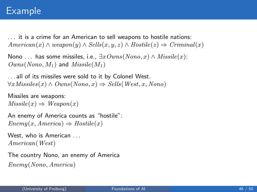## Example

. . . it is a crime for an American to sell weapons to hostile nations:  $American(x) \wedge weapon(y) \wedge Sells(x, y, z) \wedge Hostile(z) \Rightarrow Criminal(x)$ 

```
Nono ... has some missiles, i.e., \exists x \, Owns(Nono, x) \land \textit{Missile}(x):
Owns(Nono, M_1) and Missile(M_1)
```
. . . all of its missiles were sold to it by Colonel West.  $\forall x \textit{Missiles}(x) \land \textit{Owns}(Nono, x) \Rightarrow \textit{Sells}(West, x, Nono)$ 

```
Missiles are weapons:
Missile(x) \Rightarrow Weapon(x)
```
An enemy of America counts as "hostile":  $Enemy(x, America) \Rightarrow Hostile(x)$ 

```
West, who is American ...
American(West)
```
The country Nono, an enemy of America Enemy(Nono, America)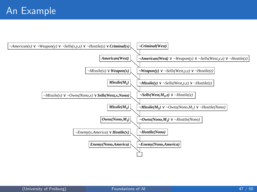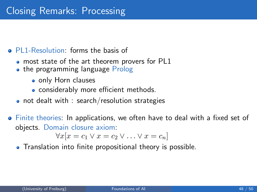### • PL1-Resolution: forms the basis of

- most state of the art theorem provers for PL1
- the programming language Prolog
	- only Horn clauses
	- considerably more efficient methods.
- not dealt with : search/resolution strategies
- Finite theories: In applications, we often have to deal with a fixed set of objects. Domain closure axiom:

<span id="page-47-0"></span>
$$
\forall x[x = c_1 \lor x = c_2 \lor \dots \lor x = c_n]
$$

• Translation into finite propositional theory is possible.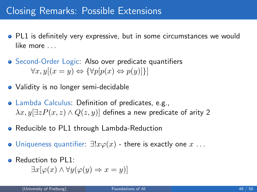## Closing Remarks: Possible Extensions

- PL1 is definitely very expressive, but in some circumstances we would like more ...
- Second-Order Logic: Also over predicate quantifiers  $\forall x, y[(x = y) \Leftrightarrow {\forall p[p(x) \Leftrightarrow p(y)]}]$
- Validity is no longer semi-decidable
- Lambda Calculus: Definition of predicates, e.g.,  $\lambda x. y \exists z P(x, z) \wedge Q(z, y)$  defines a new predicate of arity 2
- **•** Reducible to PL1 through Lambda-Reduction
- $\bullet$  Uniqueness quantifier:  $\exists !x\varphi(x)$  there is exactly one  $x \dots$
- Reduction to PL1:

$$
\exists x[\varphi(x) \land \forall y(\varphi(y) \Rightarrow x = y)]
$$